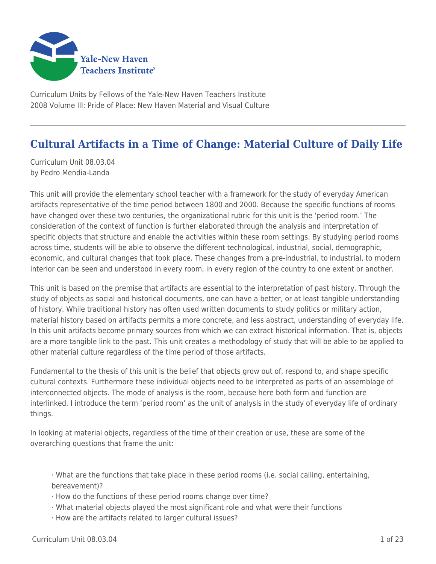

Curriculum Units by Fellows of the Yale-New Haven Teachers Institute 2008 Volume III: Pride of Place: New Haven Material and Visual Culture

# **Cultural Artifacts in a Time of Change: Material Culture of Daily Life**

Curriculum Unit 08.03.04 by Pedro Mendia-Landa

This unit will provide the elementary school teacher with a framework for the study of everyday American artifacts representative of the time period between 1800 and 2000. Because the specific functions of rooms have changed over these two centuries, the organizational rubric for this unit is the 'period room.' The consideration of the context of function is further elaborated through the analysis and interpretation of specific objects that structure and enable the activities within these room settings. By studying period rooms across time, students will be able to observe the different technological, industrial, social, demographic, economic, and cultural changes that took place. These changes from a pre-industrial, to industrial, to modern interior can be seen and understood in every room, in every region of the country to one extent or another.

This unit is based on the premise that artifacts are essential to the interpretation of past history. Through the study of objects as social and historical documents, one can have a better, or at least tangible understanding of history. While traditional history has often used written documents to study politics or military action, material history based on artifacts permits a more concrete, and less abstract, understanding of everyday life. In this unit artifacts become primary sources from which we can extract historical information. That is, objects are a more tangible link to the past. This unit creates a methodology of study that will be able to be applied to other material culture regardless of the time period of those artifacts.

Fundamental to the thesis of this unit is the belief that objects grow out of, respond to, and shape specific cultural contexts. Furthermore these individual objects need to be interpreted as parts of an assemblage of interconnected objects. The mode of analysis is the room, because here both form and function are interlinked. I introduce the term 'period room' as the unit of analysis in the study of everyday life of ordinary things.

In looking at material objects, regardless of the time of their creation or use, these are some of the overarching questions that frame the unit:

· What are the functions that take place in these period rooms (i.e. social calling, entertaining, bereavement)?

- · How do the functions of these period rooms change over time?
- · What material objects played the most significant role and what were their functions
- · How are the artifacts related to larger cultural issues?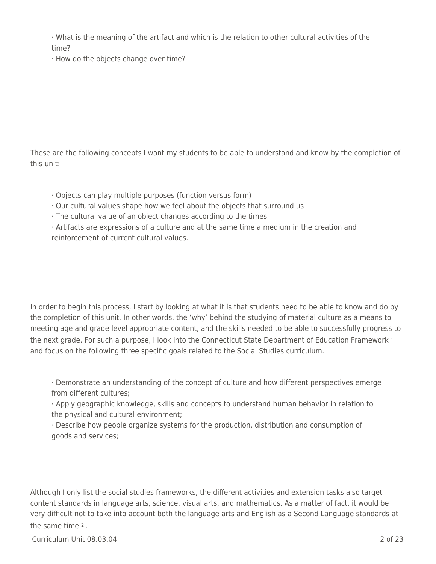· What is the meaning of the artifact and which is the relation to other cultural activities of the time?

· How do the objects change over time?

These are the following concepts I want my students to be able to understand and know by the completion of this unit:

- · Objects can play multiple purposes (function versus form)
- · Our cultural values shape how we feel about the objects that surround us
- · The cultural value of an object changes according to the times

· Artifacts are expressions of a culture and at the same time a medium in the creation and reinforcement of current cultural values.

In order to begin this process, I start by looking at what it is that students need to be able to know and do by the completion of this unit. In other words, the 'why' behind the studying of material culture as a means to meeting age and grade level appropriate content, and the skills needed to be able to successfully progress to the next grade. For such a purpose, I look into the Connecticut State Department of Education Framework 1 and focus on the following three specific goals related to the Social Studies curriculum.

· Demonstrate an understanding of the concept of culture and how different perspectives emerge from different cultures;

· Apply geographic knowledge, skills and concepts to understand human behavior in relation to the physical and cultural environment;

· Describe how people organize systems for the production, distribution and consumption of goods and services;

Although I only list the social studies frameworks, the different activities and extension tasks also target content standards in language arts, science, visual arts, and mathematics. As a matter of fact, it would be very difficult not to take into account both the language arts and English as a Second Language standards at the same time 2 .

Curriculum Unit 08.03.04 2 of 23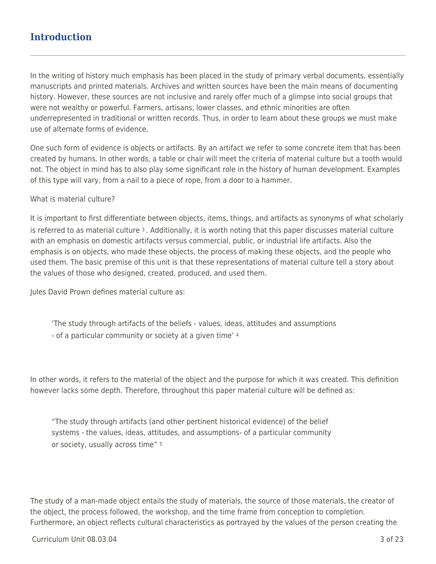## **Introduction**

In the writing of history much emphasis has been placed in the study of primary verbal documents, essentially manuscripts and printed materials. Archives and written sources have been the main means of documenting history. However, these sources are not inclusive and rarely offer much of a glimpse into social groups that were not wealthy or powerful. Farmers, artisans, lower classes, and ethnic minorities are often underrepresented in traditional or written records. Thus, in order to learn about these groups we must make use of alternate forms of evidence.

One such form of evidence is objects or artifacts. By an artifact we refer to some concrete item that has been created by humans. In other words, a table or chair will meet the criteria of material culture but a tooth would not. The object in mind has to also play some significant role in the history of human development. Examples of this type will vary, from a nail to a piece of rope, from a door to a hammer.

#### What is material culture?

It is important to first differentiate between objects, items, things, and artifacts as synonyms of what scholarly is referred to as material culture  $3$ . Additionally, it is worth noting that this paper discusses material culture with an emphasis on domestic artifacts versus commercial, public, or industrial life artifacts. Also the emphasis is on objects, who made these objects, the process of making these objects, and the people who used them. The basic premise of this unit is that these representations of material culture tell a story about the values of those who designed, created, produced, and used them.

Jules David Prown defines material culture as:

'The study through artifacts of the beliefs - values, ideas, attitudes and assumptions - of a particular community or society at a given time' <sup>4</sup>

In other words, it refers to the material of the object and the purpose for which it was created. This definition however lacks some depth. Therefore, throughout this paper material culture will be defined as:

"The study through artifacts (and other pertinent historical evidence) of the belief systems - the values, ideas, attitudes, and assumptions- of a particular community or society, usually across time" <sup>5</sup>

The study of a man-made object entails the study of materials, the source of those materials, the creator of the object, the process followed, the workshop, and the time frame from conception to completion. Furthermore, an object reflects cultural characteristics as portrayed by the values of the person creating the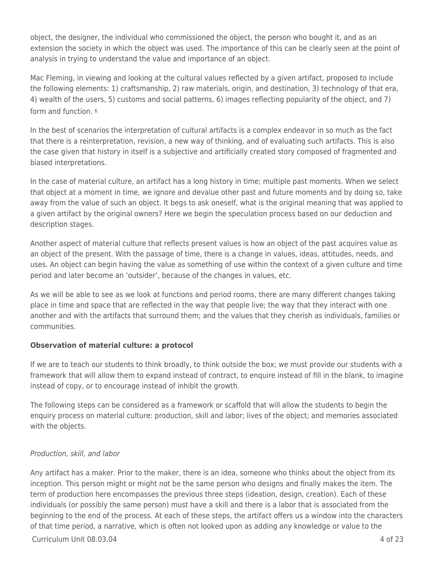object, the designer, the individual who commissioned the object, the person who bought it, and as an extension the society in which the object was used. The importance of this can be clearly seen at the point of analysis in trying to understand the value and importance of an object.

Mac Fleming, in viewing and looking at the cultural values reflected by a given artifact, proposed to include the following elements: 1) craftsmanship, 2) raw materials, origin, and destination, 3) technology of that era, 4) wealth of the users, 5) customs and social patterns, 6) images reflecting popularity of the object, and 7) form and function. <sup>6</sup>

In the best of scenarios the interpretation of cultural artifacts is a complex endeavor in so much as the fact that there is a reinterpretation, revision, a new way of thinking, and of evaluating such artifacts. This is also the case given that history in itself is a subjective and artificially created story composed of fragmented and biased interpretations.

In the case of material culture, an artifact has a long history in time; multiple past moments. When we select that object at a moment in time, we ignore and devalue other past and future moments and by doing so, take away from the value of such an object. It begs to ask oneself, what is the original meaning that was applied to a given artifact by the original owners? Here we begin the speculation process based on our deduction and description stages.

Another aspect of material culture that reflects present values is how an object of the past acquires value as an object of the present. With the passage of time, there is a change in values, ideas, attitudes, needs, and uses. An object can begin having the value as something of use within the context of a given culture and time period and later become an 'outsider', because of the changes in values, etc.

As we will be able to see as we look at functions and period rooms, there are many different changes taking place in time and space that are reflected in the way that people live; the way that they interact with one another and with the artifacts that surround them; and the values that they cherish as individuals, families or communities.

### **Observation of material culture: a protocol**

If we are to teach our students to think broadly, to think outside the box; we must provide our students with a framework that will allow them to expand instead of contract, to enquire instead of fill in the blank, to imagine instead of copy, or to encourage instead of inhibit the growth.

The following steps can be considered as a framework or scaffold that will allow the students to begin the enquiry process on material culture: production, skill and labor; lives of the object; and memories associated with the objects.

## Production, skill, and labor

Any artifact has a maker. Prior to the maker, there is an idea, someone who thinks about the object from its inception. This person might or might not be the same person who designs and finally makes the item. The term of production here encompasses the previous three steps (ideation, design, creation). Each of these individuals (or possibly the same person) must have a skill and there is a labor that is associated from the beginning to the end of the process. At each of these steps, the artifact offers us a window into the characters of that time period, a narrative, which is often not looked upon as adding any knowledge or value to the

 $C$ urriculum Unit 08.03.04  $\qquad$  4 of 23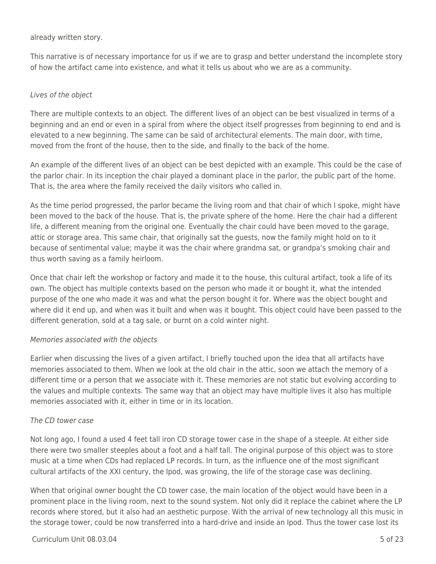already written story.

This narrative is of necessary importance for us if we are to grasp and better understand the incomplete story of how the artifact came into existence, and what it tells us about who we are as a community.

### Lives of the object

There are multiple contexts to an object. The different lives of an object can be best visualized in terms of a beginning and an end or even in a spiral from where the object itself progresses from beginning to end and is elevated to a new beginning. The same can be said of architectural elements. The main door, with time, moved from the front of the house, then to the side, and finally to the back of the home.

An example of the different lives of an object can be best depicted with an example. This could be the case of the parlor chair. In its inception the chair played a dominant place in the parlor, the public part of the home. That is, the area where the family received the daily visitors who called in.

As the time period progressed, the parlor became the living room and that chair of which I spoke, might have been moved to the back of the house. That is, the private sphere of the home. Here the chair had a different life, a different meaning from the original one. Eventually the chair could have been moved to the garage, attic or storage area. This same chair, that originally sat the guests, now the family might hold on to it because of sentimental value; maybe it was the chair where grandma sat, or grandpa's smoking chair and thus worth saving as a family heirloom.

Once that chair left the workshop or factory and made it to the house, this cultural artifact, took a life of its own. The object has multiple contexts based on the person who made it or bought it, what the intended purpose of the one who made it was and what the person bought it for. Where was the object bought and where did it end up, and when was it built and when was it bought. This object could have been passed to the different generation, sold at a tag sale, or burnt on a cold winter night.

#### Memories associated with the objects

Earlier when discussing the lives of a given artifact, I briefly touched upon the idea that all artifacts have memories associated to them. When we look at the old chair in the attic, soon we attach the memory of a different time or a person that we associate with it. These memories are not static but evolving according to the values and multiple contexts. The same way that an object may have multiple lives it also has multiple memories associated with it, either in time or in its location.

#### The CD tower case

Not long ago, I found a used 4 feet tall iron CD storage tower case in the shape of a steeple. At either side there were two smaller steeples about a foot and a half tall. The original purpose of this object was to store music at a time when CDs had replaced LP records. In turn, as the influence one of the most significant cultural artifacts of the XXI century, the Ipod, was growing, the life of the storage case was declining.

When that original owner bought the CD tower case, the main location of the object would have been in a prominent place in the living room, next to the sound system. Not only did it replace the cabinet where the LP records where stored, but it also had an aesthetic purpose. With the arrival of new technology all this music in the storage tower, could be now transferred into a hard-drive and inside an Ipod. Thus the tower case lost its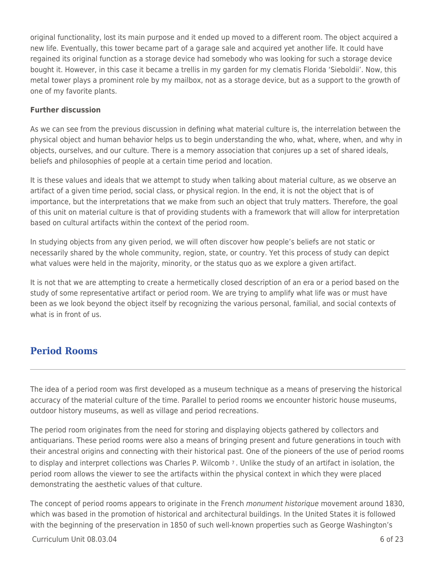original functionality, lost its main purpose and it ended up moved to a different room. The object acquired a new life. Eventually, this tower became part of a garage sale and acquired yet another life. It could have regained its original function as a storage device had somebody who was looking for such a storage device bought it. However, in this case it became a trellis in my garden for my clematis Florida 'Sieboldii'. Now, this metal tower plays a prominent role by my mailbox, not as a storage device, but as a support to the growth of one of my favorite plants.

#### **Further discussion**

As we can see from the previous discussion in defining what material culture is, the interrelation between the physical object and human behavior helps us to begin understanding the who, what, where, when, and why in objects, ourselves, and our culture. There is a memory association that conjures up a set of shared ideals, beliefs and philosophies of people at a certain time period and location.

It is these values and ideals that we attempt to study when talking about material culture, as we observe an artifact of a given time period, social class, or physical region. In the end, it is not the object that is of importance, but the interpretations that we make from such an object that truly matters. Therefore, the goal of this unit on material culture is that of providing students with a framework that will allow for interpretation based on cultural artifacts within the context of the period room.

In studying objects from any given period, we will often discover how people's beliefs are not static or necessarily shared by the whole community, region, state, or country. Yet this process of study can depict what values were held in the majority, minority, or the status quo as we explore a given artifact.

It is not that we are attempting to create a hermetically closed description of an era or a period based on the study of some representative artifact or period room. We are trying to amplify what life was or must have been as we look beyond the object itself by recognizing the various personal, familial, and social contexts of what is in front of us.

## **Period Rooms**

The idea of a period room was first developed as a museum technique as a means of preserving the historical accuracy of the material culture of the time. Parallel to period rooms we encounter historic house museums, outdoor history museums, as well as village and period recreations.

The period room originates from the need for storing and displaying objects gathered by collectors and antiquarians. These period rooms were also a means of bringing present and future generations in touch with their ancestral origins and connecting with their historical past. One of the pioneers of the use of period rooms to display and interpret collections was Charles P. Wilcomb 7 . Unlike the study of an artifact in isolation, the period room allows the viewer to see the artifacts within the physical context in which they were placed demonstrating the aesthetic values of that culture.

The concept of period rooms appears to originate in the French monument historique movement around 1830, which was based in the promotion of historical and architectural buildings. In the United States it is followed with the beginning of the preservation in 1850 of such well-known properties such as George Washington's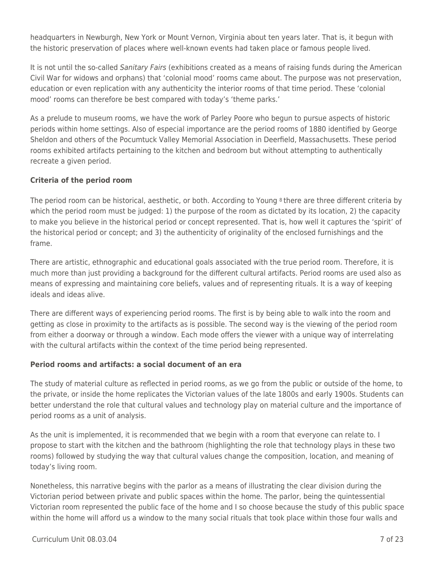headquarters in Newburgh, New York or Mount Vernon, Virginia about ten years later. That is, it begun with the historic preservation of places where well-known events had taken place or famous people lived.

It is not until the so-called Sanitary Fairs (exhibitions created as a means of raising funds during the American Civil War for widows and orphans) that 'colonial mood' rooms came about. The purpose was not preservation, education or even replication with any authenticity the interior rooms of that time period. These 'colonial mood' rooms can therefore be best compared with today's 'theme parks.'

As a prelude to museum rooms, we have the work of Parley Poore who begun to pursue aspects of historic periods within home settings. Also of especial importance are the period rooms of 1880 identified by George Sheldon and others of the Pocumtuck Valley Memorial Association in Deerfield, Massachusetts. These period rooms exhibited artifacts pertaining to the kitchen and bedroom but without attempting to authentically recreate a given period.

### **Criteria of the period room**

The period room can be historical, aesthetic, or both. According to Young <sup>8</sup> there are three different criteria by which the period room must be judged: 1) the purpose of the room as dictated by its location, 2) the capacity to make you believe in the historical period or concept represented. That is, how well it captures the 'spirit' of the historical period or concept; and 3) the authenticity of originality of the enclosed furnishings and the frame.

There are artistic, ethnographic and educational goals associated with the true period room. Therefore, it is much more than just providing a background for the different cultural artifacts. Period rooms are used also as means of expressing and maintaining core beliefs, values and of representing rituals. It is a way of keeping ideals and ideas alive.

There are different ways of experiencing period rooms. The first is by being able to walk into the room and getting as close in proximity to the artifacts as is possible. The second way is the viewing of the period room from either a doorway or through a window. Each mode offers the viewer with a unique way of interrelating with the cultural artifacts within the context of the time period being represented.

#### **Period rooms and artifacts: a social document of an era**

The study of material culture as reflected in period rooms, as we go from the public or outside of the home, to the private, or inside the home replicates the Victorian values of the late 1800s and early 1900s. Students can better understand the role that cultural values and technology play on material culture and the importance of period rooms as a unit of analysis.

As the unit is implemented, it is recommended that we begin with a room that everyone can relate to. I propose to start with the kitchen and the bathroom (highlighting the role that technology plays in these two rooms) followed by studying the way that cultural values change the composition, location, and meaning of today's living room.

Nonetheless, this narrative begins with the parlor as a means of illustrating the clear division during the Victorian period between private and public spaces within the home. The parlor, being the quintessential Victorian room represented the public face of the home and I so choose because the study of this public space within the home will afford us a window to the many social rituals that took place within those four walls and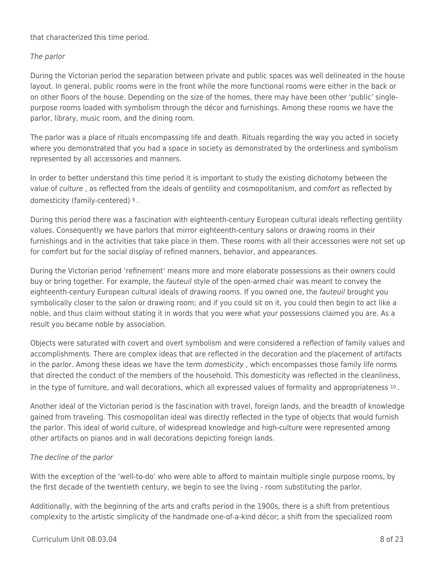that characterized this time period.

## The parlor

During the Victorian period the separation between private and public spaces was well delineated in the house layout. In general, public rooms were in the front while the more functional rooms were either in the back or on other floors of the house. Depending on the size of the homes, there may have been other 'public' singlepurpose rooms loaded with symbolism through the décor and furnishings. Among these rooms we have the parlor, library, music room, and the dining room.

The parlor was a place of rituals encompassing life and death. Rituals regarding the way you acted in society where you demonstrated that you had a space in society as demonstrated by the orderliness and symbolism represented by all accessories and manners.

In order to better understand this time period it is important to study the existing dichotomy between the value of culture , as reflected from the ideals of gentility and cosmopolitanism, and comfort as reflected by domesticity (family-centered) 9 .

During this period there was a fascination with eighteenth-century European cultural ideals reflecting gentility values. Consequently we have parlors that mirror eighteenth-century salons or drawing rooms in their furnishings and in the activities that take place in them. These rooms with all their accessories were not set up for comfort but for the social display of refined manners, behavior, and appearances.

During the Victorian period 'refinement' means more and more elaborate possessions as their owners could buy or bring together. For example, the fauteuil style of the open-armed chair was meant to convey the eighteenth-century European cultural ideals of drawing rooms. If you owned one, the fauteuil brought you symbolically closer to the salon or drawing room; and if you could sit on it, you could then begin to act like a noble, and thus claim without stating it in words that you were what your possessions claimed you are. As a result you became noble by association.

Objects were saturated with covert and overt symbolism and were considered a reflection of family values and accomplishments. There are complex ideas that are reflected in the decoration and the placement of artifacts in the parlor. Among these ideas we have the term *domesticity*, which encompasses those family life norms that directed the conduct of the members of the household. This domesticity was reflected in the cleanliness, in the type of furniture, and wall decorations, which all expressed values of formality and appropriateness 10 .

Another ideal of the Victorian period is the fascination with travel, foreign lands, and the breadth of knowledge gained from traveling. This cosmopolitan ideal was directly reflected in the type of objects that would furnish the parlor. This ideal of world culture, of widespread knowledge and high-culture were represented among other artifacts on pianos and in wall decorations depicting foreign lands.

### The decline of the parlor

With the exception of the 'well-to-do' who were able to afford to maintain multiple single purpose rooms, by the first decade of the twentieth century, we begin to see the living - room substituting the parlor.

Additionally, with the beginning of the arts and crafts period in the 1900s, there is a shift from pretentious complexity to the artistic simplicity of the handmade one-of-a-kind décor; a shift from the specialized room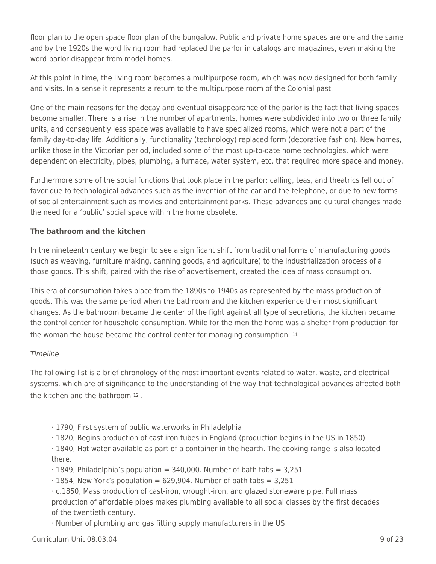floor plan to the open space floor plan of the bungalow. Public and private home spaces are one and the same and by the 1920s the word living room had replaced the parlor in catalogs and magazines, even making the word parlor disappear from model homes.

At this point in time, the living room becomes a multipurpose room, which was now designed for both family and visits. In a sense it represents a return to the multipurpose room of the Colonial past.

One of the main reasons for the decay and eventual disappearance of the parlor is the fact that living spaces become smaller. There is a rise in the number of apartments, homes were subdivided into two or three family units, and consequently less space was available to have specialized rooms, which were not a part of the family day-to-day life. Additionally, functionality (technology) replaced form (decorative fashion). New homes, unlike those in the Victorian period, included some of the most up-to-date home technologies, which were dependent on electricity, pipes, plumbing, a furnace, water system, etc. that required more space and money.

Furthermore some of the social functions that took place in the parlor: calling, teas, and theatrics fell out of favor due to technological advances such as the invention of the car and the telephone, or due to new forms of social entertainment such as movies and entertainment parks. These advances and cultural changes made the need for a 'public' social space within the home obsolete.

## **The bathroom and the kitchen**

In the nineteenth century we begin to see a significant shift from traditional forms of manufacturing goods (such as weaving, furniture making, canning goods, and agriculture) to the industrialization process of all those goods. This shift, paired with the rise of advertisement, created the idea of mass consumption.

This era of consumption takes place from the 1890s to 1940s as represented by the mass production of goods. This was the same period when the bathroom and the kitchen experience their most significant changes. As the bathroom became the center of the fight against all type of secretions, the kitchen became the control center for household consumption. While for the men the home was a shelter from production for the woman the house became the control center for managing consumption. <sup>11</sup>

### Timeline

The following list is a brief chronology of the most important events related to water, waste, and electrical systems, which are of significance to the understanding of the way that technological advances affected both the kitchen and the bathroom 12 .

- · 1790, First system of public waterworks in Philadelphia
- · 1820, Begins production of cast iron tubes in England (production begins in the US in 1850)

· 1840, Hot water available as part of a container in the hearth. The cooking range is also located there.

 $\cdot$  1849, Philadelphia's population = 340,000. Number of bath tabs = 3,251

 $\cdot$  1854, New York's population = 629,904. Number of bath tabs = 3,251

· c.1850, Mass production of cast-iron, wrought-iron, and glazed stoneware pipe. Full mass production of affordable pipes makes plumbing available to all social classes by the first decades of the twentieth century.

· Number of plumbing and gas fitting supply manufacturers in the US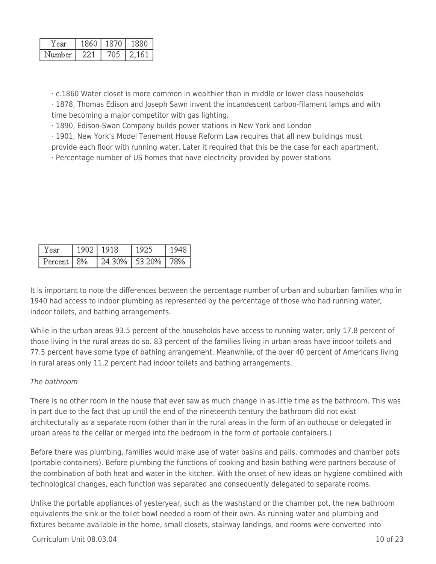| 'ear   | 860 |           |
|--------|-----|-----------|
| Number |     | $\pm 6 +$ |

· c.1860 Water closet is more common in wealthier than in middle or lower class households

· 1878, Thomas Edison and Joseph Sawn invent the incandescent carbon-filament lamps and with time becoming a major competitor with gas lighting.

· 1890, Edison-Swan Company builds power stations in New York and London

· 1901, New York's Model Tenement House Reform Law requires that all new buildings must

provide each floor with running water. Later it required that this be the case for each apartment.

· Percentage number of US homes that have electricity provided by power stations

| 'Year | 1902   1918 | l 1925.                              | 1948. |
|-------|-------------|--------------------------------------|-------|
|       |             | Percent   8%   24.30%   53.20%   78% |       |

It is important to note the differences between the percentage number of urban and suburban families who in 1940 had access to indoor plumbing as represented by the percentage of those who had running water, indoor toilets, and bathing arrangements.

While in the urban areas 93.5 percent of the households have access to running water, only 17.8 percent of those living in the rural areas do so. 83 percent of the families living in urban areas have indoor toilets and 77.5 percent have some type of bathing arrangement. Meanwhile, of the over 40 percent of Americans living in rural areas only 11.2 percent had indoor toilets and bathing arrangements.

### The bathroom

There is no other room in the house that ever saw as much change in as little time as the bathroom. This was in part due to the fact that up until the end of the nineteenth century the bathroom did not exist architecturally as a separate room (other than in the rural areas in the form of an outhouse or delegated in urban areas to the cellar or merged into the bedroom in the form of portable containers.)

Before there was plumbing, families would make use of water basins and pails, commodes and chamber pots (portable containers). Before plumbing the functions of cooking and basin bathing were partners because of the combination of both heat and water in the kitchen. With the onset of new ideas on hygiene combined with technological changes, each function was separated and consequently delegated to separate rooms.

Unlike the portable appliances of yesteryear, such as the washstand or the chamber pot, the new bathroom equivalents the sink or the toilet bowl needed a room of their own. As running water and plumbing and fixtures became available in the home, small closets, stairway landings, and rooms were converted into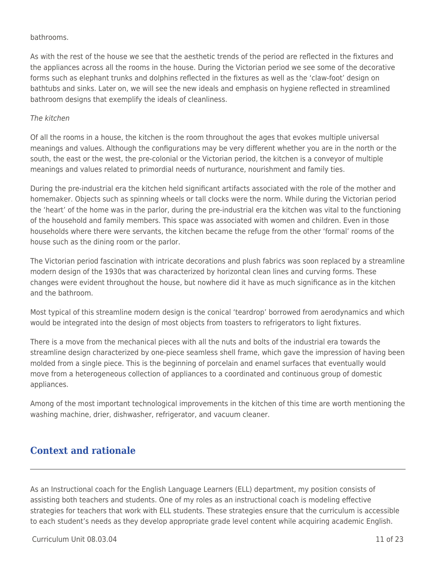#### bathrooms.

As with the rest of the house we see that the aesthetic trends of the period are reflected in the fixtures and the appliances across all the rooms in the house. During the Victorian period we see some of the decorative forms such as elephant trunks and dolphins reflected in the fixtures as well as the 'claw-foot' design on bathtubs and sinks. Later on, we will see the new ideals and emphasis on hygiene reflected in streamlined bathroom designs that exemplify the ideals of cleanliness.

#### The kitchen

Of all the rooms in a house, the kitchen is the room throughout the ages that evokes multiple universal meanings and values. Although the configurations may be very different whether you are in the north or the south, the east or the west, the pre-colonial or the Victorian period, the kitchen is a conveyor of multiple meanings and values related to primordial needs of nurturance, nourishment and family ties.

During the pre-industrial era the kitchen held significant artifacts associated with the role of the mother and homemaker. Objects such as spinning wheels or tall clocks were the norm. While during the Victorian period the 'heart' of the home was in the parlor, during the pre-industrial era the kitchen was vital to the functioning of the household and family members. This space was associated with women and children. Even in those households where there were servants, the kitchen became the refuge from the other 'formal' rooms of the house such as the dining room or the parlor.

The Victorian period fascination with intricate decorations and plush fabrics was soon replaced by a streamline modern design of the 1930s that was characterized by horizontal clean lines and curving forms. These changes were evident throughout the house, but nowhere did it have as much significance as in the kitchen and the bathroom.

Most typical of this streamline modern design is the conical 'teardrop' borrowed from aerodynamics and which would be integrated into the design of most objects from toasters to refrigerators to light fixtures.

There is a move from the mechanical pieces with all the nuts and bolts of the industrial era towards the streamline design characterized by one-piece seamless shell frame, which gave the impression of having been molded from a single piece. This is the beginning of porcelain and enamel surfaces that eventually would move from a heterogeneous collection of appliances to a coordinated and continuous group of domestic appliances.

Among of the most important technological improvements in the kitchen of this time are worth mentioning the washing machine, drier, dishwasher, refrigerator, and vacuum cleaner.

## **Context and rationale**

As an Instructional coach for the English Language Learners (ELL) department, my position consists of assisting both teachers and students. One of my roles as an instructional coach is modeling effective strategies for teachers that work with ELL students. These strategies ensure that the curriculum is accessible to each student's needs as they develop appropriate grade level content while acquiring academic English.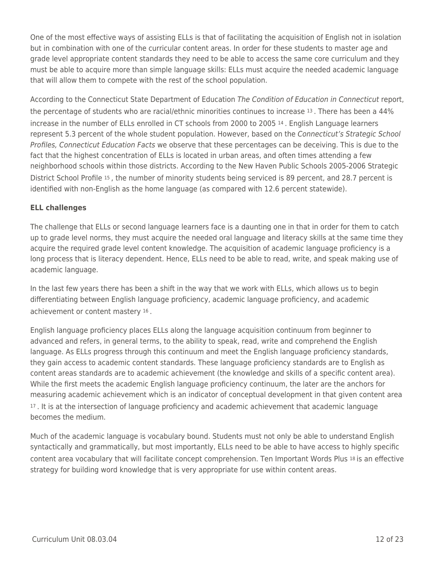One of the most effective ways of assisting ELLs is that of facilitating the acquisition of English not in isolation but in combination with one of the curricular content areas. In order for these students to master age and grade level appropriate content standards they need to be able to access the same core curriculum and they must be able to acquire more than simple language skills: ELLs must acquire the needed academic language that will allow them to compete with the rest of the school population.

According to the Connecticut State Department of Education The Condition of Education in Connecticut report, the percentage of students who are racial/ethnic minorities continues to increase 13 . There has been a 44% increase in the number of ELLs enrolled in CT schools from 2000 to 2005 14 . English Language learners represent 5.3 percent of the whole student population. However, based on the Connecticut's Strategic School Profiles, Connecticut Education Facts we observe that these percentages can be deceiving. This is due to the fact that the highest concentration of ELLs is located in urban areas, and often times attending a few neighborhood schools within those districts. According to the New Haven Public Schools 2005-2006 Strategic District School Profile 15 , the number of minority students being serviced is 89 percent, and 28.7 percent is identified with non-English as the home language (as compared with 12.6 percent statewide).

### **ELL challenges**

The challenge that ELLs or second language learners face is a daunting one in that in order for them to catch up to grade level norms, they must acquire the needed oral language and literacy skills at the same time they acquire the required grade level content knowledge. The acquisition of academic language proficiency is a long process that is literacy dependent. Hence, ELLs need to be able to read, write, and speak making use of academic language.

In the last few years there has been a shift in the way that we work with ELLs, which allows us to begin differentiating between English language proficiency, academic language proficiency, and academic achievement or content mastery 16 .

English language proficiency places ELLs along the language acquisition continuum from beginner to advanced and refers, in general terms, to the ability to speak, read, write and comprehend the English language. As ELLs progress through this continuum and meet the English language proficiency standards, they gain access to academic content standards. These language proficiency standards are to English as content areas standards are to academic achievement (the knowledge and skills of a specific content area). While the first meets the academic English language proficiency continuum, the later are the anchors for measuring academic achievement which is an indicator of conceptual development in that given content area <sup>17</sup>. It is at the intersection of language proficiency and academic achievement that academic language becomes the medium.

Much of the academic language is vocabulary bound. Students must not only be able to understand English syntactically and grammatically, but most importantly, ELLs need to be able to have access to highly specific content area vocabulary that will facilitate concept comprehension. Ten Important Words Plus 18 is an effective strategy for building word knowledge that is very appropriate for use within content areas.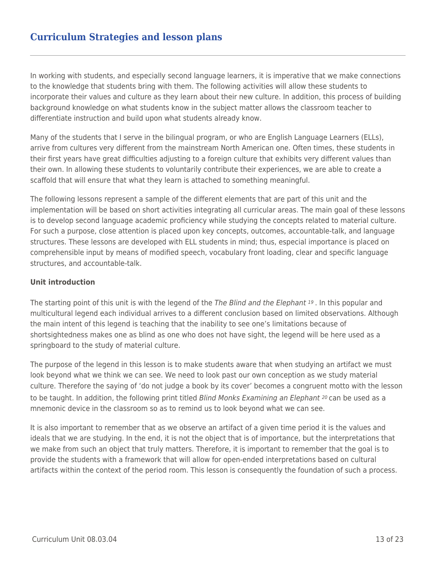## **Curriculum Strategies and lesson plans**

In working with students, and especially second language learners, it is imperative that we make connections to the knowledge that students bring with them. The following activities will allow these students to incorporate their values and culture as they learn about their new culture. In addition, this process of building background knowledge on what students know in the subject matter allows the classroom teacher to differentiate instruction and build upon what students already know.

Many of the students that I serve in the bilingual program, or who are English Language Learners (ELLs), arrive from cultures very different from the mainstream North American one. Often times, these students in their first years have great difficulties adjusting to a foreign culture that exhibits very different values than their own. In allowing these students to voluntarily contribute their experiences, we are able to create a scaffold that will ensure that what they learn is attached to something meaningful.

The following lessons represent a sample of the different elements that are part of this unit and the implementation will be based on short activities integrating all curricular areas. The main goal of these lessons is to develop second language academic proficiency while studying the concepts related to material culture. For such a purpose, close attention is placed upon key concepts, outcomes, accountable-talk, and language structures. These lessons are developed with ELL students in mind; thus, especial importance is placed on comprehensible input by means of modified speech, vocabulary front loading, clear and specific language structures, and accountable-talk.

#### **Unit introduction**

The starting point of this unit is with the legend of the The Blind and the Elephant 19. In this popular and multicultural legend each individual arrives to a different conclusion based on limited observations. Although the main intent of this legend is teaching that the inability to see one's limitations because of shortsightedness makes one as blind as one who does not have sight, the legend will be here used as a springboard to the study of material culture.

The purpose of the legend in this lesson is to make students aware that when studying an artifact we must look beyond what we think we can see. We need to look past our own conception as we study material culture. Therefore the saying of 'do not judge a book by its cover' becomes a congruent motto with the lesson to be taught. In addition, the following print titled *Blind Monks Examining an Elephant* 20 can be used as a mnemonic device in the classroom so as to remind us to look beyond what we can see.

It is also important to remember that as we observe an artifact of a given time period it is the values and ideals that we are studying. In the end, it is not the object that is of importance, but the interpretations that we make from such an object that truly matters. Therefore, it is important to remember that the goal is to provide the students with a framework that will allow for open-ended interpretations based on cultural artifacts within the context of the period room. This lesson is consequently the foundation of such a process.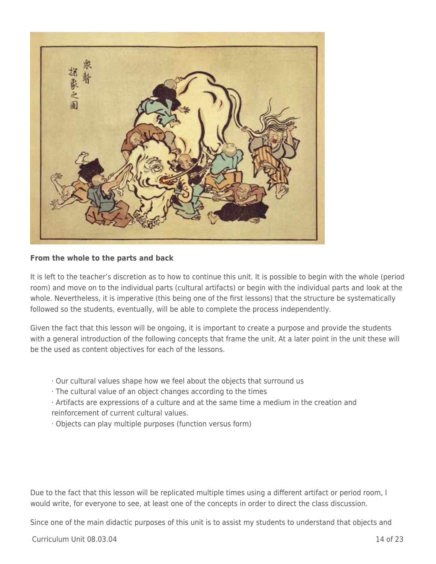

#### **From the whole to the parts and back**

It is left to the teacher's discretion as to how to continue this unit. It is possible to begin with the whole (period room) and move on to the individual parts (cultural artifacts) or begin with the individual parts and look at the whole. Nevertheless, it is imperative (this being one of the first lessons) that the structure be systematically followed so the students, eventually, will be able to complete the process independently.

Given the fact that this lesson will be ongoing, it is important to create a purpose and provide the students with a general introduction of the following concepts that frame the unit. At a later point in the unit these will be the used as content objectives for each of the lessons.

- · Our cultural values shape how we feel about the objects that surround us
- · The cultural value of an object changes according to the times
- · Artifacts are expressions of a culture and at the same time a medium in the creation and reinforcement of current cultural values.
- · Objects can play multiple purposes (function versus form)

Due to the fact that this lesson will be replicated multiple times using a different artifact or period room, I would write, for everyone to see, at least one of the concepts in order to direct the class discussion.

Since one of the main didactic purposes of this unit is to assist my students to understand that objects and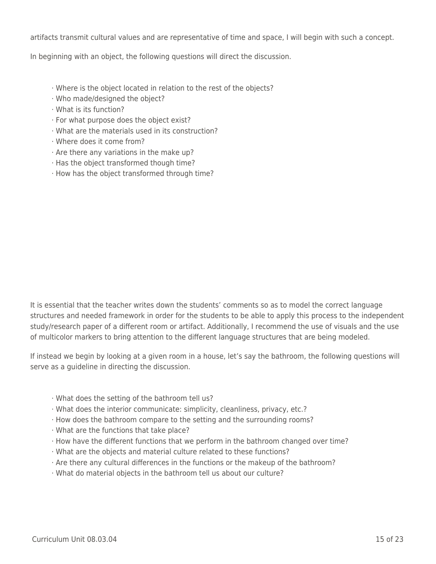artifacts transmit cultural values and are representative of time and space, I will begin with such a concept.

In beginning with an object, the following questions will direct the discussion.

- · Where is the object located in relation to the rest of the objects?
- · Who made/designed the object?
- · What is its function?
- · For what purpose does the object exist?
- · What are the materials used in its construction?
- · Where does it come from?
- · Are there any variations in the make up?
- · Has the object transformed though time?
- · How has the object transformed through time?

It is essential that the teacher writes down the students' comments so as to model the correct language structures and needed framework in order for the students to be able to apply this process to the independent study/research paper of a different room or artifact. Additionally, I recommend the use of visuals and the use of multicolor markers to bring attention to the different language structures that are being modeled.

If instead we begin by looking at a given room in a house, let's say the bathroom, the following questions will serve as a guideline in directing the discussion.

- · What does the setting of the bathroom tell us?
- · What does the interior communicate: simplicity, cleanliness, privacy, etc.?
- · How does the bathroom compare to the setting and the surrounding rooms?
- · What are the functions that take place?
- · How have the different functions that we perform in the bathroom changed over time?
- · What are the objects and material culture related to these functions?
- · Are there any cultural differences in the functions or the makeup of the bathroom?
- · What do material objects in the bathroom tell us about our culture?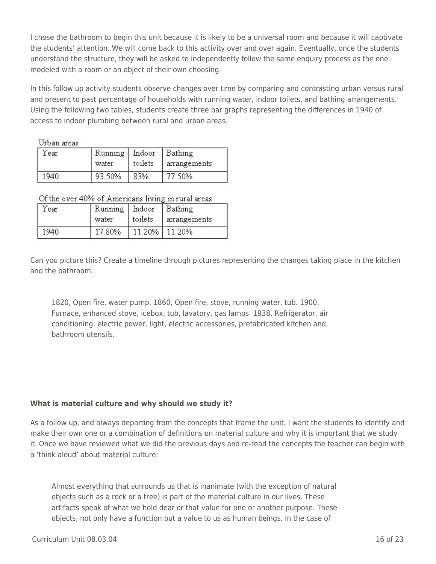I chose the bathroom to begin this unit because it is likely to be a universal room and because it will captivate the students' attention. We will come back to this activity over and over again. Eventually, once the students understand the structure, they will be asked to independently follow the same enquiry process as the one modeled with a room or an object of their own choosing.

In this follow up activity students observe changes over time by comparing and contrasting urban versus rural and present to past percentage of households with running water, indoor toilets, and bathing arrangements. Using the following two tables, students create three bar graphs representing the differences in 1940 of access to indoor plumbing between rural and urban areas.

Urban areas

| Year | Running   Indoor |         | Bathing      |
|------|------------------|---------|--------------|
|      | water            | toilets | arrangements |
| 1940 | 93.50%           | 83%     | 77 50%       |

Of the over 40% of Americans living in rural areas

| Year | Running   Indoor |           | Bathing      |
|------|------------------|-----------|--------------|
|      | water            | toilets   | arrangements |
| 1940 | 17.80%           | $11.20\%$ | 11.20%       |

Can you picture this? Create a timeline through pictures representing the changes taking place in the kitchen and the bathroom.

1820, Open fire, water pump. 1860, Open fire, stove, running water, tub. 1900, Furnace, enhanced stove, icebox, tub, lavatory, gas lamps. 1938, Refrigerator, air conditioning, electric power, light, electric accessories, prefabricated kitchen and bathroom utensils.

## **What is material culture and why should we study it?**

As a follow up, and always departing from the concepts that frame the unit, I want the students to identify and make their own one or a combination of definitions on material culture and why it is important that we study it. Once we have reviewed what we did the previous days and re-read the concepts the teacher can begin with a 'think aloud' about material culture:

Almost everything that surrounds us that is inanimate (with the exception of natural objects such as a rock or a tree) is part of the material culture in our lives. These artifacts speak of what we hold dear or that value for one or another purpose. These objects, not only have a function but a value to us as human beings. In the case of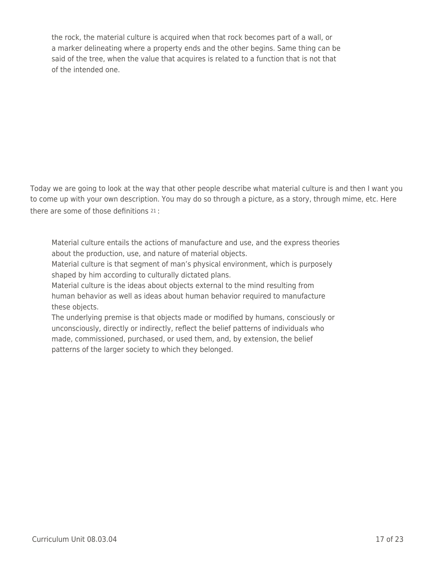the rock, the material culture is acquired when that rock becomes part of a wall, or a marker delineating where a property ends and the other begins. Same thing can be said of the tree, when the value that acquires is related to a function that is not that of the intended one.

Today we are going to look at the way that other people describe what material culture is and then I want you to come up with your own description. You may do so through a picture, as a story, through mime, etc. Here there are some of those definitions 21 :

Material culture entails the actions of manufacture and use, and the express theories about the production, use, and nature of material objects.

Material culture is that segment of man's physical environment, which is purposely shaped by him according to culturally dictated plans.

Material culture is the ideas about objects external to the mind resulting from human behavior as well as ideas about human behavior required to manufacture these objects.

The underlying premise is that objects made or modified by humans, consciously or unconsciously, directly or indirectly, reflect the belief patterns of individuals who made, commissioned, purchased, or used them, and, by extension, the belief patterns of the larger society to which they belonged.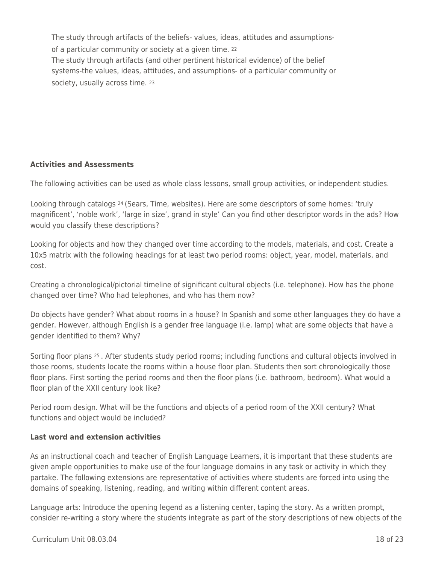The study through artifacts of the beliefs- values, ideas, attitudes and assumptionsof a particular community or society at a given time. <sup>22</sup> The study through artifacts (and other pertinent historical evidence) of the belief systems-the values, ideas, attitudes, and assumptions- of a particular community or society, usually across time. 23

### **Activities and Assessments**

The following activities can be used as whole class lessons, small group activities, or independent studies.

Looking through catalogs 24 (Sears, Time, websites). Here are some descriptors of some homes: 'truly magnificent', 'noble work', 'large in size', grand in style' Can you find other descriptor words in the ads? How would you classify these descriptions?

Looking for objects and how they changed over time according to the models, materials, and cost. Create a 10x5 matrix with the following headings for at least two period rooms: object, year, model, materials, and cost.

Creating a chronological/pictorial timeline of significant cultural objects (i.e. telephone). How has the phone changed over time? Who had telephones, and who has them now?

Do objects have gender? What about rooms in a house? In Spanish and some other languages they do have a gender. However, although English is a gender free language (i.e. lamp) what are some objects that have a gender identified to them? Why?

Sorting floor plans 25 . After students study period rooms; including functions and cultural objects involved in those rooms, students locate the rooms within a house floor plan. Students then sort chronologically those floor plans. First sorting the period rooms and then the floor plans (i.e. bathroom, bedroom). What would a floor plan of the XXII century look like?

Period room design. What will be the functions and objects of a period room of the XXII century? What functions and object would be included?

#### **Last word and extension activities**

As an instructional coach and teacher of English Language Learners, it is important that these students are given ample opportunities to make use of the four language domains in any task or activity in which they partake. The following extensions are representative of activities where students are forced into using the domains of speaking, listening, reading, and writing within different content areas.

Language arts: Introduce the opening legend as a listening center, taping the story. As a written prompt, consider re-writing a story where the students integrate as part of the story descriptions of new objects of the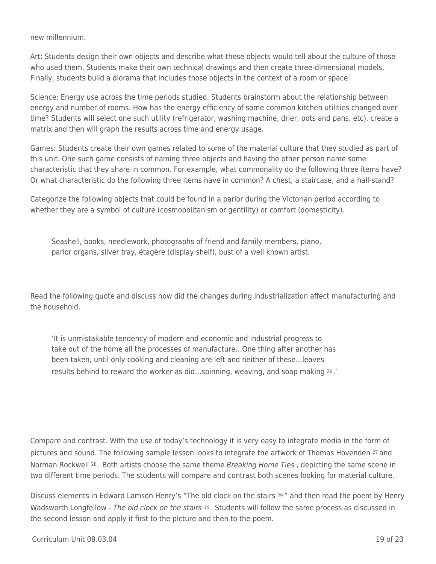new millennium.

Art: Students design their own objects and describe what these objects would tell about the culture of those who used them. Students make their own technical drawings and then create three-dimensional models. Finally, students build a diorama that includes those objects in the context of a room or space.

Science: Energy use across the time periods studied. Students brainstorm about the relationship between energy and number of rooms. How has the energy efficiency of some common kitchen utilities changed over time? Students will select one such utility (refrigerator, washing machine, drier, pots and pans, etc), create a matrix and then will graph the results across time and energy usage.

Games: Students create their own games related to some of the material culture that they studied as part of this unit. One such game consists of naming three objects and having the other person name some characteristic that they share in common. For example, what commonality do the following three items have? Or what characteristic do the following three items have in common? A chest, a staircase, and a hall-stand?

Categorize the following objects that could be found in a parlor during the Victorian period according to whether they are a symbol of culture (cosmopolitanism or gentility) or comfort (domesticity).

Seashell, books, needlework, photographs of friend and family members, piano, parlor organs, silver tray, étagère (display shelf), bust of a well known artist.

Read the following quote and discuss how did the changes during industrialization affect manufacturing and the household.

'It is unmistakable tendency of modern and economic and industrial progress to take out of the home all the processes of manufacture…One thing after another has been taken, until only cooking and cleaning are left and neither of these…leaves results behind to reward the worker as did…spinning, weaving, and soap making 26 .'

Compare and contrast. With the use of today's technology it is very easy to integrate media in the form of pictures and sound. The following sample lesson looks to integrate the artwork of Thomas Hovenden 27 and Norman Rockwell <sup>28</sup>. Both artists choose the same theme Breaking Home Ties, depicting the same scene in two different time periods. The students will compare and contrast both scenes looking for material culture.

Discuss elements in Edward Lamson Henry's "The old clock on the stairs 29 " and then read the poem by Henry Wadsworth Longfellow - The old clock on the stairs  $30$ . Students will follow the same process as discussed in the second lesson and apply it first to the picture and then to the poem.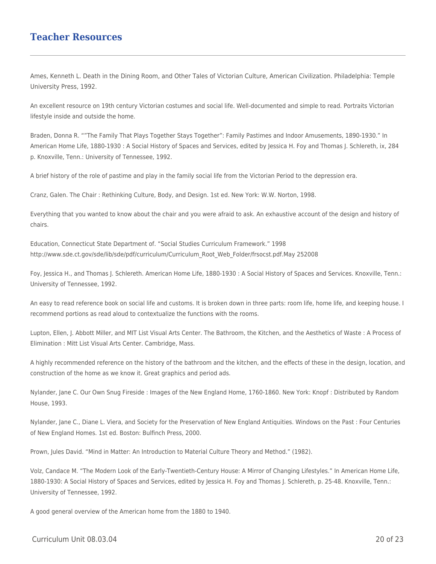## **Teacher Resources**

Ames, Kenneth L. Death in the Dining Room, and Other Tales of Victorian Culture, American Civilization. Philadelphia: Temple University Press, 1992.

An excellent resource on 19th century Victorian costumes and social life. Well-documented and simple to read. Portraits Victorian lifestyle inside and outside the home.

Braden, Donna R. ""The Family That Plays Together Stays Together": Family Pastimes and Indoor Amusements, 1890-1930." In American Home Life, 1880-1930 : A Social History of Spaces and Services, edited by Jessica H. Foy and Thomas J. Schlereth, ix, 284 p. Knoxville, Tenn.: University of Tennessee, 1992.

A brief history of the role of pastime and play in the family social life from the Victorian Period to the depression era.

Cranz, Galen. The Chair : Rethinking Culture, Body, and Design. 1st ed. New York: W.W. Norton, 1998.

Everything that you wanted to know about the chair and you were afraid to ask. An exhaustive account of the design and history of chairs.

Education, Connecticut State Department of. "Social Studies Curriculum Framework." 1998 http://www.sde.ct.gov/sde/lib/sde/pdf/curriculum/Curriculum\_Root\_Web\_Folder/frsocst.pdf.May 252008

Foy, Jessica H., and Thomas J. Schlereth. American Home Life, 1880-1930 : A Social History of Spaces and Services. Knoxville, Tenn.: University of Tennessee, 1992.

An easy to read reference book on social life and customs. It is broken down in three parts: room life, home life, and keeping house. I recommend portions as read aloud to contextualize the functions with the rooms.

Lupton, Ellen, J. Abbott Miller, and MIT List Visual Arts Center. The Bathroom, the Kitchen, and the Aesthetics of Waste : A Process of Elimination : Mitt List Visual Arts Center. Cambridge, Mass.

A highly recommended reference on the history of the bathroom and the kitchen, and the effects of these in the design, location, and construction of the home as we know it. Great graphics and period ads.

Nylander, Jane C. Our Own Snug Fireside : Images of the New England Home, 1760-1860. New York: Knopf : Distributed by Random House, 1993.

Nylander, Jane C., Diane L. Viera, and Society for the Preservation of New England Antiquities. Windows on the Past : Four Centuries of New England Homes. 1st ed. Boston: Bulfinch Press, 2000.

Prown, Jules David. "Mind in Matter: An Introduction to Material Culture Theory and Method." (1982).

Volz, Candace M. "The Modern Look of the Early-Twentieth-Century House: A Mirror of Changing Lifestyles." In American Home Life, 1880-1930: A Social History of Spaces and Services, edited by Jessica H. Foy and Thomas J. Schlereth, p. 25-48. Knoxville, Tenn.: University of Tennessee, 1992.

A good general overview of the American home from the 1880 to 1940.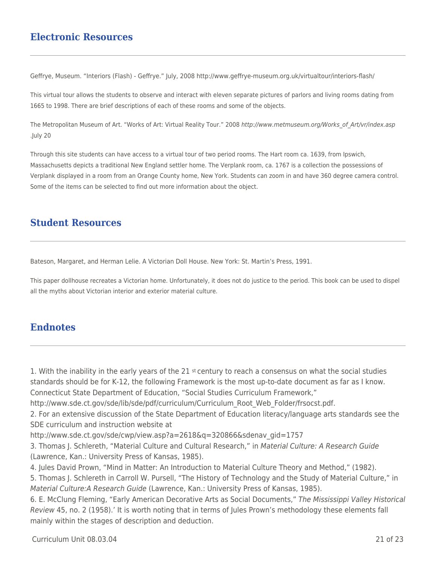## **Electronic Resources**

Geffrye, Museum. "Interiors (Flash) - Geffrye." July, 2008 http://www.geffrye-museum.org.uk/virtualtour/interiors-flash/

This virtual tour allows the students to observe and interact with eleven separate pictures of parlors and living rooms dating from 1665 to 1998. There are brief descriptions of each of these rooms and some of the objects.

The Metropolitan Museum of Art. "Works of Art: Virtual Reality Tour." 2008 http://www.metmuseum.org/Works\_of\_Art/vr/index.asp .July 20

Through this site students can have access to a virtual tour of two period rooms. The Hart room ca. 1639, from Ipswich, Massachusetts depicts a traditional New England settler home. The Verplank room, ca. 1767 is a collection the possessions of Verplank displayed in a room from an Orange County home, New York. Students can zoom in and have 360 degree camera control. Some of the items can be selected to find out more information about the object.

## **Student Resources**

Bateson, Margaret, and Herman Lelie. A Victorian Doll House. New York: St. Martin's Press, 1991.

This paper dollhouse recreates a Victorian home. Unfortunately, it does not do justice to the period. This book can be used to dispel all the myths about Victorian interior and exterior material culture.

## **Endnotes**

1. With the inability in the early years of the 21  $st$  century to reach a consensus on what the social studies standards should be for K-12, the following Framework is the most up-to-date document as far as I know.

Connecticut State Department of Education, "Social Studies Curriculum Framework,"

http://www.sde.ct.gov/sde/lib/sde/pdf/curriculum/Curriculum\_Root\_Web\_Folder/frsocst.pdf.

2. For an extensive discussion of the State Department of Education literacy/language arts standards see the SDE curriculum and instruction website at

http://www.sde.ct.gov/sde/cwp/view.asp?a=2618&q=320866&sdenav\_gid=1757

3. Thomas J. Schlereth, "Material Culture and Cultural Research," in Material Culture: A Research Guide (Lawrence, Kan.: University Press of Kansas, 1985).

4. Jules David Prown, "Mind in Matter: An Introduction to Material Culture Theory and Method," (1982).

5. Thomas J. Schlereth in Carroll W. Pursell, "The History of Technology and the Study of Material Culture," in Material Culture:A Research Guide (Lawrence, Kan.: University Press of Kansas, 1985).

6. E. McClung Fleming, "Early American Decorative Arts as Social Documents," The Mississippi Valley Historical Review 45, no. 2 (1958).' It is worth noting that in terms of Jules Prown's methodology these elements fall mainly within the stages of description and deduction.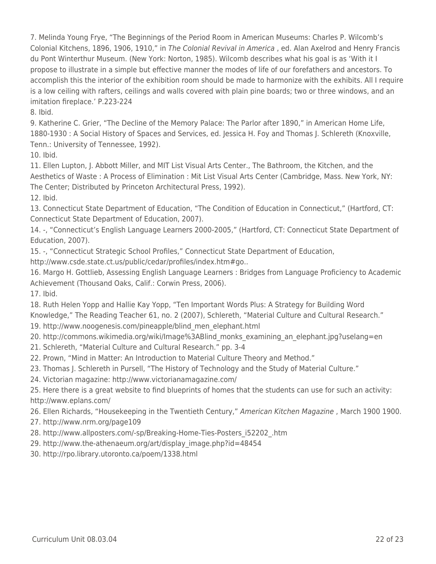7. Melinda Young Frye, "The Beginnings of the Period Room in American Museums: Charles P. Wilcomb's Colonial Kitchens, 1896, 1906, 1910," in The Colonial Revival in America , ed. Alan Axelrod and Henry Francis du Pont Winterthur Museum. (New York: Norton, 1985). Wilcomb describes what his goal is as 'With it I propose to illustrate in a simple but effective manner the modes of life of our forefathers and ancestors. To accomplish this the interior of the exhibition room should be made to harmonize with the exhibits. All I require is a low ceiling with rafters, ceilings and walls covered with plain pine boards; two or three windows, and an imitation fireplace.' P.223-224

8. Ibid.

9. Katherine C. Grier, "The Decline of the Memory Palace: The Parlor after 1890," in American Home Life, 1880-1930 : A Social History of Spaces and Services, ed. Jessica H. Foy and Thomas J. Schlereth (Knoxville, Tenn.: University of Tennessee, 1992).

10. Ibid.

11. Ellen Lupton, J. Abbott Miller, and MIT List Visual Arts Center., The Bathroom, the Kitchen, and the Aesthetics of Waste : A Process of Elimination : Mit List Visual Arts Center (Cambridge, Mass. New York, NY: The Center; Distributed by Princeton Architectural Press, 1992).

12. Ibid.

13. Connecticut State Department of Education, "The Condition of Education in Connecticut," (Hartford, CT: Connecticut State Department of Education, 2007).

14. -, "Connecticut's English Language Learners 2000-2005," (Hartford, CT: Connecticut State Department of Education, 2007).

15. -, "Connecticut Strategic School Profiles," Connecticut State Department of Education,

http://www.csde.state.ct.us/public/cedar/profiles/index.htm#go..

16. Margo H. Gottlieb, Assessing English Language Learners : Bridges from Language Proficiency to Academic Achievement (Thousand Oaks, Calif.: Corwin Press, 2006).

17. Ibid.

18. Ruth Helen Yopp and Hallie Kay Yopp, "Ten Important Words Plus: A Strategy for Building Word Knowledge," The Reading Teacher 61, no. 2 (2007), Schlereth, "Material Culture and Cultural Research."

19. http://www.noogenesis.com/pineapple/blind\_men\_elephant.html

20. http://commons.wikimedia.org/wiki/Image%3ABlind\_monks\_examining\_an\_elephant.jpg?uselang=en

21. Schlereth, "Material Culture and Cultural Research." pp. 3-4

22. Prown, "Mind in Matter: An Introduction to Material Culture Theory and Method."

23. Thomas J. Schlereth in Pursell, "The History of Technology and the Study of Material Culture."

24. Victorian magazine: http://www.victorianamagazine.com/

25. Here there is a great website to find blueprints of homes that the students can use for such an activity: http://www.eplans.com/

26. Ellen Richards, "Housekeeping in the Twentieth Century," American Kitchen Magazine , March 1900 1900.

- 27. http://www.nrm.org/page109
- 28. http://www.allposters.com/-sp/Breaking-Home-Ties-Posters\_i52202\_.htm
- 29. http://www.the-athenaeum.org/art/display\_image.php?id=48454
- 30. http://rpo.library.utoronto.ca/poem/1338.html